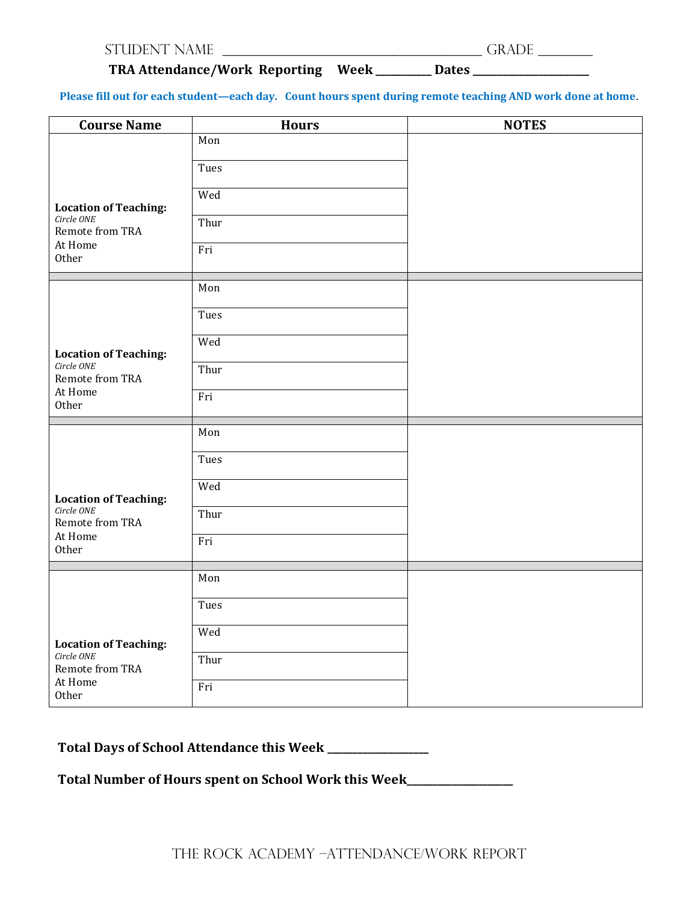| <b>STUDENT NAME</b> |  |
|---------------------|--|
|---------------------|--|

## **TRA Attendance/Work Reporting Week \_\_\_\_\_\_\_\_\_\_\_ Dates \_\_\_\_\_\_\_\_\_\_\_\_\_\_\_\_\_\_\_\_\_\_\_**

**Please fill out for each student—each day. Count hours spent during remote teaching AND work done at home**.

| <b>Course Name</b>                                                                | <b>Hours</b> | <b>NOTES</b> |
|-----------------------------------------------------------------------------------|--------------|--------------|
| <b>Location of Teaching:</b>                                                      | Mon          |              |
|                                                                                   | Tues         |              |
|                                                                                   | Wed          |              |
| Circle ONE<br>Remote from TRA                                                     | Thur         |              |
| At Home<br>Other                                                                  | Fri          |              |
| <b>Location of Teaching:</b><br>Circle ONE<br>Remote from TRA<br>At Home<br>Other | Mon          |              |
|                                                                                   | Tues         |              |
|                                                                                   | Wed          |              |
|                                                                                   | Thur         |              |
|                                                                                   | Fri          |              |
| <b>Location of Teaching:</b><br>Circle ONE<br>Remote from TRA<br>At Home<br>Other | Mon          |              |
|                                                                                   | Tues         |              |
|                                                                                   | Wed          |              |
|                                                                                   | Thur         |              |
|                                                                                   | Fri          |              |
| <b>Location of Teaching:</b><br>Circle ONE<br>Remote from TRA<br>At Home<br>Other | Mon          |              |
|                                                                                   | Tues         |              |
|                                                                                   | Wed          |              |
|                                                                                   | Thur         |              |
|                                                                                   | Fri          |              |

## **Total Days of School Attendance this Week \_\_\_\_\_\_\_\_\_\_\_\_\_\_\_\_\_\_\_\_**

**Total Number of Hours spent on School Work this Week\_\_\_\_\_\_\_\_\_\_\_\_\_\_\_\_\_\_\_\_\_**